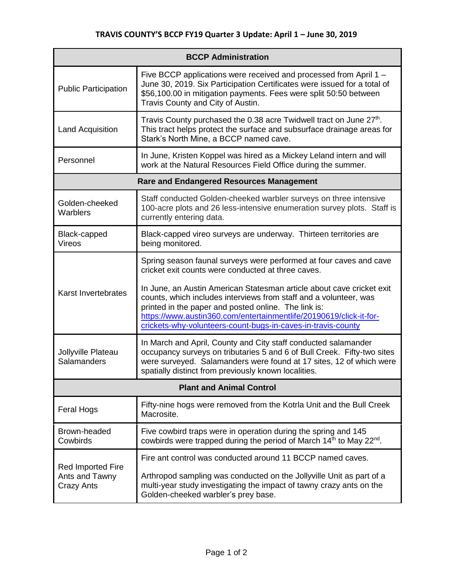| <b>BCCP Administration</b>                               |                                                                                                                                                                                                                                                                                                                                          |  |
|----------------------------------------------------------|------------------------------------------------------------------------------------------------------------------------------------------------------------------------------------------------------------------------------------------------------------------------------------------------------------------------------------------|--|
| <b>Public Participation</b>                              | Five BCCP applications were received and processed from April 1 -<br>June 30, 2019. Six Participation Certificates were issued for a total of<br>\$56,100.00 in mitigation payments. Fees were split 50:50 between<br>Travis County and City of Austin.                                                                                  |  |
| <b>Land Acquisition</b>                                  | Travis County purchased the 0.38 acre Twidwell tract on June 27 <sup>th</sup> .<br>This tract helps protect the surface and subsurface drainage areas for<br>Stark's North Mine, a BCCP named cave.                                                                                                                                      |  |
| Personnel                                                | In June, Kristen Koppel was hired as a Mickey Leland intern and will<br>work at the Natural Resources Field Office during the summer.                                                                                                                                                                                                    |  |
| <b>Rare and Endangered Resources Management</b>          |                                                                                                                                                                                                                                                                                                                                          |  |
| Golden-cheeked<br>Warblers                               | Staff conducted Golden-cheeked warbler surveys on three intensive<br>100-acre plots and 26 less-intensive enumeration survey plots. Staff is<br>currently entering data.                                                                                                                                                                 |  |
| Black-capped<br><b>Vireos</b>                            | Black-capped vireo surveys are underway. Thirteen territories are<br>being monitored.                                                                                                                                                                                                                                                    |  |
| Karst Invertebrates                                      | Spring season faunal surveys were performed at four caves and cave<br>cricket exit counts were conducted at three caves.                                                                                                                                                                                                                 |  |
|                                                          | In June, an Austin American Statesman article about cave cricket exit<br>counts, which includes interviews from staff and a volunteer, was<br>printed in the paper and posted online. The link is:<br>https://www.austin360.com/entertainmentlife/20190619/click-it-for-<br>crickets-why-volunteers-count-bugs-in-caves-in-travis-county |  |
| Jollyville Plateau<br>Salamanders                        | In March and April, County and City staff conducted salamander<br>occupancy surveys on tributaries 5 and 6 of Bull Creek. Fifty-two sites<br>were surveyed. Salamanders were found at 17 sites, 12 of which were<br>spatially distinct from previously known localities.                                                                 |  |
| <b>Plant and Animal Control</b>                          |                                                                                                                                                                                                                                                                                                                                          |  |
| <b>Feral Hogs</b>                                        | Fifty-nine hogs were removed from the Kotrla Unit and the Bull Creek<br>Macrosite.                                                                                                                                                                                                                                                       |  |
| Brown-headed<br>Cowbirds                                 | Five cowbird traps were in operation during the spring and 145<br>cowbirds were trapped during the period of March 14 <sup>th</sup> to May 22 <sup>nd</sup> .                                                                                                                                                                            |  |
| Red Imported Fire<br>Ants and Tawny<br><b>Crazy Ants</b> | Fire ant control was conducted around 11 BCCP named caves.                                                                                                                                                                                                                                                                               |  |
|                                                          | Arthropod sampling was conducted on the Jollyville Unit as part of a<br>multi-year study investigating the impact of tawny crazy ants on the<br>Golden-cheeked warbler's prey base.                                                                                                                                                      |  |